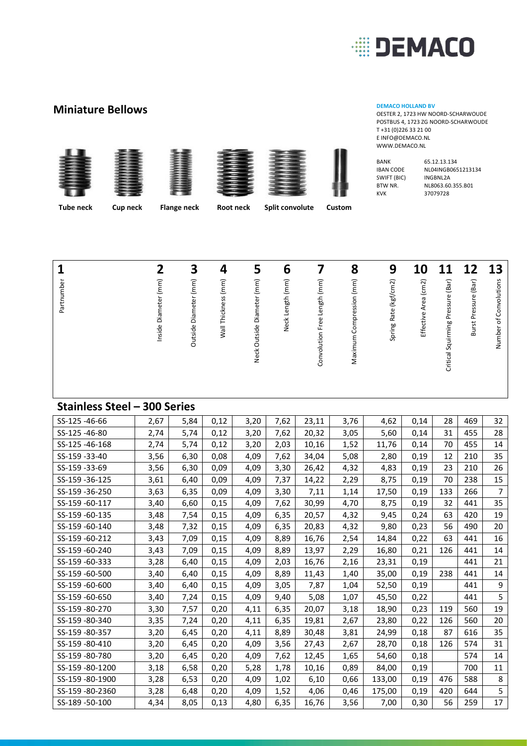

OESTER 2, 1723 HW NOORD-SCHARWOUDE POSTBUS 4, 1723 ZG NOORD-SCHARWOUDE

### **Miniature Bellows DEMACO HOLLAND BV DEMACO HOLLAND BV DEMACO HOLLAND BV**









| <b>BANK</b>      | 65 |
|------------------|----|
| <b>IBAN CODE</b> | Νl |
| SWIFT (BIC)      | IN |
| BTW NR.          | Νl |
| <b>KVK</b>       | 37 |
|                  |    |

T +31 (0)226 33 21 00 E INFO@DEMACO.NL WWW.DEMACO.NL

> 5.12.13.134 L04INGB0651213134 **NGBNL2A** L8063.60.355.B01 KVK 37079728

 **Tube neck Cup neck Flange neck Root neck Split convolute Custom**

| 13 | of Convolutions<br>Number         |
|----|-----------------------------------|
| 12 | Burst Pressure (Bar)              |
| 11 | Critical Squirming Pressure (Bar) |
| 10 | Effective Area (cm2)              |
| 9  | Spring Rate (kgf/cm2)             |
| 8  | Maximum Compression (mm)          |
|    | Convolution Free Length (mm)      |
| 6  | Neck Length (mm)                  |
| 5  | Neck Outside Diameter (mm)        |
| 4  | Wall Thickness (mm)               |
| З  | Outside Diameter (mm)             |
|    | Diameter (mm)<br>Inside           |
|    |                                   |
|    | Partnumber                        |

#### **Stainless Steel – 300 Series**

| 2,67 | 5,84 | 0,12 | 3,20 | 7,62 | 23,11 | 3,76 | 4,62   | 0,14 | 28  | 469 | 32               |
|------|------|------|------|------|-------|------|--------|------|-----|-----|------------------|
| 2,74 | 5,74 | 0,12 | 3,20 | 7,62 | 20,32 | 3,05 | 5,60   | 0,14 | 31  | 455 | 28               |
| 2,74 | 5,74 | 0,12 | 3,20 | 2,03 | 10,16 | 1,52 | 11,76  | 0,14 | 70  | 455 | 14               |
| 3,56 | 6,30 | 0,08 | 4,09 | 7,62 | 34,04 | 5,08 | 2,80   | 0,19 | 12  | 210 | 35               |
| 3,56 | 6,30 | 0,09 | 4,09 | 3,30 | 26,42 | 4,32 | 4,83   | 0,19 | 23  | 210 | 26               |
| 3,61 | 6,40 | 0,09 | 4,09 | 7,37 | 14,22 | 2,29 | 8,75   | 0,19 | 70  | 238 | 15               |
| 3,63 | 6,35 | 0,09 | 4,09 | 3,30 | 7,11  | 1,14 | 17,50  | 0,19 | 133 | 266 | $\overline{7}$   |
| 3,40 | 6,60 | 0,15 | 4,09 | 7,62 | 30,99 | 4,70 | 8,75   | 0,19 | 32  | 441 | 35               |
| 3,48 | 7,54 | 0,15 | 4,09 | 6,35 | 20,57 | 4,32 | 9,45   | 0,24 | 63  | 420 | 19               |
| 3,48 | 7,32 | 0,15 | 4,09 | 6,35 | 20,83 | 4,32 | 9,80   | 0,23 | 56  | 490 | 20               |
| 3,43 | 7,09 | 0,15 | 4,09 | 8,89 | 16,76 | 2,54 | 14,84  | 0,22 | 63  | 441 | 16               |
| 3,43 | 7,09 | 0,15 | 4,09 | 8,89 | 13,97 | 2,29 | 16,80  | 0,21 | 126 | 441 | 14               |
| 3,28 | 6,40 | 0,15 | 4,09 | 2,03 | 16,76 | 2,16 | 23,31  | 0,19 |     | 441 | 21               |
| 3,40 | 6,40 | 0,15 | 4,09 | 8,89 | 11,43 | 1,40 | 35,00  | 0,19 | 238 | 441 | 14               |
| 3,40 | 6,40 | 0,15 | 4,09 | 3,05 | 7,87  | 1,04 | 52,50  | 0,19 |     | 441 | $\boldsymbol{9}$ |
| 3,40 | 7,24 | 0,15 | 4,09 | 9,40 | 5,08  | 1,07 | 45,50  | 0,22 |     | 441 | 5                |
| 3,30 | 7,57 | 0,20 | 4,11 | 6,35 | 20,07 | 3,18 | 18,90  | 0,23 | 119 | 560 | 19               |
| 3,35 | 7,24 | 0,20 | 4,11 | 6,35 | 19,81 | 2,67 | 23,80  | 0,22 | 126 | 560 | 20               |
| 3,20 | 6,45 | 0,20 | 4,11 | 8,89 | 30,48 | 3,81 | 24,99  | 0,18 | 87  | 616 | 35               |
| 3,20 | 6,45 | 0,20 | 4,09 | 3,56 | 27,43 | 2,67 | 28,70  | 0,18 | 126 | 574 | 31               |
| 3,20 | 6,45 | 0,20 | 4,09 | 7,62 | 12,45 | 1,65 | 54,60  | 0,18 |     | 574 | 14               |
| 3,18 | 6,58 | 0,20 | 5,28 | 1,78 | 10,16 | 0,89 | 84,00  | 0,19 |     | 700 | 11               |
| 3,28 | 6,53 | 0,20 | 4,09 | 1,02 | 6,10  | 0,66 | 133,00 | 0,19 | 476 | 588 | 8                |
| 3,28 | 6,48 | 0,20 | 4,09 | 1,52 | 4,06  | 0,46 | 175,00 | 0,19 | 420 | 644 | 5                |
| 4,34 | 8,05 | 0,13 | 4,80 | 6,35 | 16,76 | 3,56 | 7,00   | 0,30 | 56  | 259 | 17               |
|      |      |      |      |      |       |      |        |      |     |     |                  |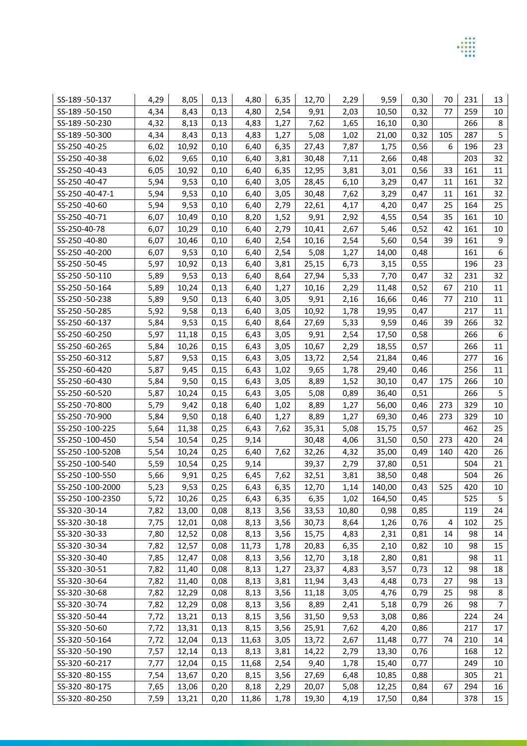| SS-189-50-137   | 4,29 | 8,05  | 0,13 | 4,80  | 6,35 | 12,70 | 2,29  | 9,59   | 0,30 | 70  | 231 | 13             |
|-----------------|------|-------|------|-------|------|-------|-------|--------|------|-----|-----|----------------|
| SS-189-50-150   | 4,34 | 8,43  | 0,13 | 4,80  | 2,54 | 9,91  | 2,03  | 10,50  | 0,32 | 77  | 259 | 10             |
| SS-189-50-230   | 4,32 | 8,13  | 0,13 | 4,83  | 1,27 | 7,62  | 1,65  | 16,10  | 0,30 |     | 266 | 8              |
| SS-189-50-300   | 4,34 | 8,43  | 0,13 | 4,83  | 1,27 | 5,08  | 1,02  | 21,00  | 0,32 | 105 | 287 | 5              |
| SS-250-40-25    | 6,02 | 10,92 | 0,10 | 6,40  | 6,35 | 27,43 | 7,87  | 1,75   | 0,56 | 6   | 196 | 23             |
| SS-250-40-38    | 6,02 | 9,65  | 0,10 | 6,40  | 3,81 | 30,48 | 7,11  | 2,66   | 0,48 |     | 203 | 32             |
| SS-250-40-43    | 6,05 | 10,92 | 0,10 | 6,40  | 6,35 | 12,95 | 3,81  | 3,01   | 0,56 | 33  | 161 | 11             |
| SS-250-40-47    | 5,94 | 9,53  | 0,10 | 6,40  | 3,05 | 28,45 | 6,10  | 3,29   | 0,47 | 11  | 161 | 32             |
| SS-250-40-47-1  | 5,94 | 9,53  | 0,10 | 6,40  | 3,05 | 30,48 | 7,62  | 3,29   | 0,47 | 11  | 161 | 32             |
| SS-250-40-60    | 5,94 | 9,53  | 0,10 | 6,40  | 2,79 | 22,61 | 4,17  | 4,20   | 0,47 | 25  | 164 | 25             |
| SS-250-40-71    | 6,07 | 10,49 | 0,10 | 8,20  | 1,52 | 9,91  | 2,92  | 4,55   | 0,54 | 35  | 161 | 10             |
| SS-250-40-78    | 6,07 | 10,29 | 0,10 | 6,40  | 2,79 | 10,41 | 2,67  | 5,46   | 0,52 | 42  | 161 | 10             |
| SS-250-40-80    | 6,07 | 10,46 | 0,10 | 6,40  | 2,54 | 10,16 | 2,54  | 5,60   | 0,54 | 39  | 161 | 9              |
| SS-250-40-200   | 6,07 | 9,53  | 0,10 | 6,40  | 2,54 | 5,08  | 1,27  | 14,00  | 0,48 |     | 161 | 6              |
| SS-250-50-45    | 5,97 | 10,92 | 0,13 | 6,40  | 3,81 | 25,15 | 6,73  | 3,15   | 0,55 |     | 196 | 23             |
| SS-250-50-110   | 5,89 | 9,53  | 0,13 | 6,40  | 8,64 | 27,94 | 5,33  | 7,70   | 0,47 | 32  | 231 | 32             |
| SS-250-50-164   | 5,89 | 10,24 | 0,13 | 6,40  | 1,27 | 10,16 | 2,29  | 11,48  | 0,52 | 67  | 210 | 11             |
| SS-250-50-238   | 5,89 | 9,50  | 0,13 | 6,40  | 3,05 | 9,91  | 2,16  | 16,66  | 0,46 | 77  | 210 | 11             |
| SS-250-50-285   | 5,92 | 9,58  | 0,13 | 6,40  | 3,05 | 10,92 | 1,78  | 19,95  | 0,47 |     | 217 | 11             |
| SS-250-60-137   | 5,84 | 9,53  | 0,15 | 6,40  | 8,64 | 27,69 | 5,33  | 9,59   | 0,46 | 39  | 266 | 32             |
| SS-250-60-250   | 5,97 | 11,18 | 0,15 | 6,43  | 3,05 | 9,91  | 2,54  | 17,50  | 0,58 |     | 266 | 6              |
| SS-250-60-265   | 5,84 | 10,26 | 0,15 | 6,43  | 3,05 | 10,67 | 2,29  | 18,55  | 0,57 |     | 266 | 11             |
| SS-250-60-312   | 5,87 | 9,53  | 0,15 | 6,43  | 3,05 | 13,72 | 2,54  | 21,84  | 0,46 |     | 277 | 16             |
| SS-250-60-420   | 5,87 | 9,45  | 0,15 | 6,43  | 1,02 | 9,65  | 1,78  | 29,40  | 0,46 |     | 256 | 11             |
| SS-250-60-430   | 5,84 | 9,50  | 0,15 | 6,43  | 3,05 | 8,89  | 1,52  | 30,10  | 0,47 | 175 | 266 | 10             |
| SS-250-60-520   | 5,87 | 10,24 | 0,15 | 6,43  | 3,05 | 5,08  | 0,89  | 36,40  | 0,51 |     | 266 | 5              |
| SS-250-70-800   | 5,79 | 9,42  | 0,18 | 6,40  | 1,02 | 8,89  | 1,27  | 56,00  | 0,46 | 273 | 329 | 10             |
| SS-250-70-900   | 5,84 | 9,50  | 0,18 | 6,40  | 1,27 | 8,89  | 1,27  | 69,30  | 0,46 | 273 | 329 | 10             |
| SS-250-100-225  | 5,64 | 11,38 | 0,25 | 6,43  | 7,62 | 35,31 | 5,08  | 15,75  | 0,57 |     | 462 | 25             |
| SS-250-100-450  | 5,54 | 10,54 | 0,25 | 9,14  |      | 30,48 | 4,06  | 31,50  | 0,50 | 273 | 420 | 24             |
| SS-250-100-520B | 5,54 | 10,24 | 0,25 | 6,40  | 7,62 | 32,26 | 4,32  | 35,00  | 0,49 | 140 | 420 | 26             |
| SS-250-100-540  | 5,59 | 10,54 | 0,25 | 9,14  |      | 39,37 | 2,79  | 37,80  | 0,51 |     | 504 | 21             |
| SS-250-100-550  | 5,66 | 9,91  | 0,25 | 6,45  | 7,62 | 32,51 | 3,81  | 38,50  | 0,48 |     | 504 | 26             |
| SS-250-100-2000 | 5,23 | 9,53  | 0,25 | 6,43  | 6,35 | 12,70 | 1,14  | 140,00 | 0,43 | 525 | 420 | 10             |
| SS-250-100-2350 | 5,72 | 10,26 | 0,25 | 6,43  | 6,35 | 6,35  | 1,02  | 164,50 | 0,45 |     | 525 | 5              |
| SS-320-30-14    | 7,82 | 13,00 | 0,08 | 8,13  | 3,56 | 33,53 | 10,80 | 0,98   | 0,85 |     | 119 | 24             |
| SS-320-30-18    | 7,75 | 12,01 | 0,08 | 8,13  | 3,56 | 30,73 | 8,64  | 1,26   | 0,76 | 4   | 102 | 25             |
| SS-320-30-33    | 7,80 | 12,52 | 0,08 | 8,13  | 3,56 | 15,75 | 4,83  | 2,31   | 0,81 | 14  | 98  | 14             |
| SS-320-30-34    | 7,82 | 12,57 | 0,08 | 11,73 | 1,78 | 20,83 | 6,35  | 2,10   | 0,82 | 10  | 98  | 15             |
| SS-320-30-40    | 7,85 | 12,47 | 0,08 | 8,13  | 3,56 | 12,70 | 3,18  | 2,80   | 0,81 |     | 98  | 11             |
| SS-320-30-51    | 7,82 | 11,40 | 0,08 | 8,13  | 1,27 | 23,37 | 4,83  | 3,57   | 0,73 | 12  | 98  | 18             |
| SS-320-30-64    | 7,82 | 11,40 | 0,08 | 8,13  | 3,81 | 11,94 | 3,43  | 4,48   | 0,73 | 27  | 98  | 13             |
| SS-320-30-68    | 7,82 | 12,29 | 0,08 | 8,13  | 3,56 | 11,18 | 3,05  | 4,76   | 0,79 | 25  | 98  | 8              |
| SS-320-30-74    | 7,82 | 12,29 | 0,08 | 8,13  | 3,56 | 8,89  | 2,41  | 5,18   | 0,79 | 26  | 98  | $\overline{7}$ |
| SS-320-50-44    | 7,72 | 13,21 | 0,13 | 8,15  | 3,56 | 31,50 | 9,53  | 3,08   | 0,86 |     | 224 | 24             |
| SS-320-50-60    | 7,72 | 13,31 | 0,13 | 8,15  | 3,56 | 25,91 | 7,62  | 4,20   | 0,86 |     | 217 | 17             |
| SS-320-50-164   | 7,72 | 12,04 | 0,13 | 11,63 | 3,05 | 13,72 | 2,67  | 11,48  | 0,77 | 74  | 210 | 14             |
| SS-320-50-190   | 7,57 | 12,14 | 0,13 | 8,13  | 3,81 | 14,22 | 2,79  | 13,30  | 0,76 |     | 168 | 12             |
| SS-320-60-217   | 7,77 | 12,04 | 0,15 | 11,68 | 2,54 | 9,40  | 1,78  | 15,40  | 0,77 |     | 249 | 10             |
| SS-320-80-155   | 7,54 | 13,67 | 0,20 | 8,15  | 3,56 | 27,69 | 6,48  | 10,85  | 0,88 |     | 305 | 21             |
| SS-320-80-175   | 7,65 | 13,06 | 0,20 | 8,18  | 2,29 | 20,07 | 5,08  | 12,25  | 0,84 | 67  | 294 | 16             |
| SS-320-80-250   | 7,59 | 13,21 | 0,20 | 11,86 | 1,78 | 19,30 | 4,19  | 17,50  | 0,84 |     | 378 | 15             |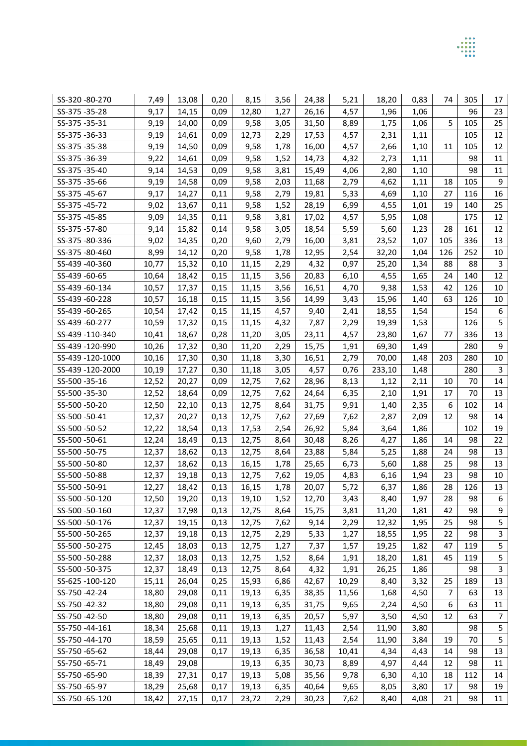| SS-320-80-270   | 7,49  | 13,08 | 0,20 | 8,15  | 3,56 | 24,38 | 5,21  | 18,20  | 0,83 | 74  | 305 | 17               |
|-----------------|-------|-------|------|-------|------|-------|-------|--------|------|-----|-----|------------------|
| SS-375-35-28    | 9,17  | 14,15 | 0,09 | 12,80 | 1,27 | 26,16 | 4,57  | 1,96   | 1,06 |     | 96  | 23               |
| SS-375-35-31    | 9,19  | 14,00 | 0,09 | 9,58  | 3,05 | 31,50 | 8,89  | 1,75   | 1,06 | 5   | 105 | 25               |
| SS-375-36-33    | 9,19  | 14,61 | 0,09 | 12,73 | 2,29 | 17,53 | 4,57  | 2,31   | 1,11 |     | 105 | 12               |
| SS-375-35-38    | 9,19  | 14,50 | 0,09 | 9,58  | 1,78 | 16,00 | 4,57  | 2,66   | 1,10 | 11  | 105 | 12               |
| SS-375-36-39    | 9,22  | 14,61 | 0,09 | 9,58  | 1,52 | 14,73 | 4,32  | 2,73   | 1,11 |     | 98  | 11               |
| SS-375-35-40    | 9,14  | 14,53 | 0,09 | 9,58  | 3,81 | 15,49 | 4,06  | 2,80   | 1,10 |     | 98  | 11               |
| SS-375-35-66    | 9,19  | 14,58 | 0,09 | 9,58  | 2,03 | 11,68 | 2,79  | 4,62   | 1,11 | 18  | 105 | 9                |
| SS-375-45-67    | 9,17  | 14,27 | 0,11 | 9,58  | 2,79 | 19,81 | 5,33  | 4,69   | 1,10 | 27  | 116 | 16               |
| SS-375-45-72    | 9,02  | 13,67 | 0,11 | 9,58  | 1,52 | 28,19 | 6,99  | 4,55   | 1,01 | 19  | 140 | 25               |
| SS-375-45-85    | 9,09  | 14,35 | 0,11 | 9,58  | 3,81 | 17,02 | 4,57  | 5,95   | 1,08 |     | 175 | 12               |
| SS-375-57-80    | 9,14  | 15,82 | 0,14 | 9,58  | 3,05 | 18,54 | 5,59  | 5,60   | 1,23 | 28  | 161 | 12               |
| SS-375-80-336   | 9,02  | 14,35 | 0,20 | 9,60  | 2,79 | 16,00 | 3,81  | 23,52  | 1,07 | 105 | 336 | 13               |
| SS-375-80-460   | 8,99  | 14,12 | 0,20 | 9,58  | 1,78 | 12,95 | 2,54  | 32,20  | 1,04 | 126 | 252 | 10               |
| SS-439-40-360   | 10,77 | 15,32 | 0,10 | 11,15 | 2,29 | 4,32  | 0,97  | 25,20  | 1,34 | 88  | 88  | 3                |
| SS-439-60-65    | 10,64 | 18,42 | 0,15 | 11,15 | 3,56 | 20,83 | 6,10  | 4,55   | 1,65 | 24  | 140 | 12               |
| SS-439-60-134   | 10,57 | 17,37 | 0,15 | 11,15 | 3,56 | 16,51 | 4,70  | 9,38   | 1,53 | 42  | 126 | 10               |
| SS-439-60-228   | 10,57 | 16,18 | 0,15 | 11,15 | 3,56 | 14,99 | 3,43  | 15,96  | 1,40 | 63  | 126 | 10               |
| SS-439-60-265   | 10,54 | 17,42 | 0,15 | 11,15 | 4,57 | 9,40  | 2,41  | 18,55  | 1,54 |     | 154 | 6                |
| SS-439-60-277   | 10,59 | 17,32 | 0,15 | 11,15 | 4,32 | 7,87  | 2,29  | 19,39  | 1,53 |     | 126 | 5                |
| SS-439-110-340  | 10,41 | 18,67 | 0,28 | 11,20 | 3,05 | 23,11 | 4,57  | 23,80  | 1,67 | 77  | 336 | 13               |
| SS-439-120-990  | 10,26 | 17,32 | 0,30 | 11,20 | 2,29 | 15,75 | 1,91  | 69,30  | 1,49 |     | 280 | $\boldsymbol{9}$ |
| SS-439-120-1000 | 10,16 | 17,30 | 0,30 | 11,18 | 3,30 | 16,51 | 2,79  | 70,00  | 1,48 | 203 | 280 | 10               |
| SS-439-120-2000 | 10,19 | 17,27 | 0,30 | 11,18 | 3,05 | 4,57  | 0,76  | 233,10 | 1,48 |     | 280 | 3                |
| SS-500-35-16    | 12,52 | 20,27 | 0,09 | 12,75 | 7,62 | 28,96 | 8,13  | 1,12   | 2,11 | 10  | 70  | 14               |
| SS-500-35-30    | 12,52 | 18,64 | 0,09 | 12,75 | 7,62 | 24,64 | 6,35  | 2,10   | 1,91 | 17  | 70  | 13               |
| SS-500-50-20    | 12,50 | 22,10 | 0,13 | 12,75 | 8,64 | 31,75 | 9,91  | 1,40   | 2,35 | 6   | 102 | 14               |
| SS-500-50-41    | 12,37 | 20,27 | 0,13 | 12,75 | 7,62 | 27,69 | 7,62  | 2,87   | 2,09 | 12  | 98  | 14               |
| SS-500-50-52    | 12,22 | 18,54 | 0,13 | 17,53 | 2,54 | 26,92 | 5,84  | 3,64   | 1,86 |     | 102 | 19               |
| SS-500-50-61    | 12,24 | 18,49 | 0,13 | 12,75 | 8,64 | 30,48 | 8,26  | 4,27   | 1,86 | 14  | 98  | 22               |
| SS-500-50-75    | 12,37 | 18,62 | 0,13 | 12,75 | 8,64 | 23,88 | 5,84  | 5,25   | 1,88 | 24  | 98  | 13               |
| SS-500-50-80    | 12,37 | 18,62 | 0,13 | 16,15 | 1,78 | 25,65 | 6,73  | 5,60   | 1,88 | 25  | 98  | 13               |
| SS-500-50-88    | 12,37 | 19,18 | 0,13 | 12,75 | 7,62 | 19,05 | 4,83  | 6,16   | 1,94 | 23  | 98  | 10               |
| SS-500-50-91    | 12,27 | 18,42 | 0,13 | 16,15 | 1,78 | 20,07 | 5,72  | 6,37   | 1,86 | 28  | 126 | 13               |
| SS-500-50-120   | 12,50 | 19,20 | 0,13 | 19,10 | 1,52 | 12,70 | 3,43  | 8,40   | 1,97 | 28  | 98  | 6                |
| SS-500-50-160   | 12,37 | 17,98 | 0,13 | 12,75 | 8,64 | 15,75 | 3,81  | 11,20  | 1,81 | 42  | 98  | 9                |
| SS-500-50-176   | 12,37 | 19,15 | 0,13 | 12,75 | 7,62 | 9,14  | 2,29  | 12,32  | 1,95 | 25  | 98  | 5                |
| SS-500-50-265   | 12,37 | 19,18 | 0,13 | 12,75 | 2,29 | 5,33  | 1,27  | 18,55  | 1,95 | 22  | 98  | 3                |
| SS-500-50-275   | 12,45 | 18,03 | 0,13 | 12,75 | 1,27 | 7,37  | 1,57  | 19,25  | 1,82 | 47  | 119 | 5                |
| SS-500-50-288   | 12,37 | 18,03 | 0,13 | 12,75 | 1,52 | 8,64  | 1,91  | 18,20  | 1,81 | 45  | 119 | 5                |
| SS-500-50-375   | 12,37 | 18,49 | 0,13 | 12,75 | 8,64 | 4,32  | 1,91  | 26,25  | 1,86 |     | 98  | 3                |
| SS-625-100-120  | 15,11 | 26,04 | 0,25 | 15,93 | 6,86 | 42,67 | 10,29 | 8,40   | 3,32 | 25  | 189 | 13               |
| SS-750-42-24    | 18,80 | 29,08 | 0,11 | 19,13 | 6,35 | 38,35 | 11,56 | 1,68   | 4,50 | 7   | 63  | 13               |
| SS-750-42-32    | 18,80 | 29,08 | 0,11 | 19,13 | 6,35 | 31,75 | 9,65  | 2,24   | 4,50 | 6   | 63  | 11               |
| SS-750-42-50    | 18,80 | 29,08 | 0,11 | 19,13 | 6,35 | 20,57 | 5,97  | 3,50   | 4,50 | 12  | 63  | 7                |
| SS-750-44-161   | 18,34 | 25,68 | 0,11 | 19,13 | 1,27 | 11,43 | 2,54  | 11,90  | 3,80 |     | 98  | 5                |
| SS-750-44-170   | 18,59 | 25,65 | 0,11 | 19,13 | 1,52 | 11,43 | 2,54  | 11,90  | 3,84 | 19  | 70  | 5                |
| SS-750-65-62    | 18,44 | 29,08 | 0,17 | 19,13 | 6,35 | 36,58 | 10,41 | 4,34   | 4,43 | 14  | 98  | 13               |
| SS-750-65-71    | 18,49 | 29,08 |      | 19,13 | 6,35 | 30,73 | 8,89  | 4,97   | 4,44 | 12  | 98  | 11               |
| SS-750-65-90    | 18,39 | 27,31 | 0,17 | 19,13 | 5,08 | 35,56 | 9,78  | 6,30   | 4,10 | 18  | 112 | 14               |
| SS-750-65-97    | 18,29 | 25,68 | 0,17 | 19,13 | 6,35 | 40,64 | 9,65  | 8,05   | 3,80 | 17  | 98  | 19               |

 $0,17$ 

18,42

 $27,15$ 

SS-750-65-120

 $23,72$ 

 $2,29$ 

 $30,23$ 

 $7,62$ 

 $8,40$ 

4,08

 $\overline{21}$ 

98

 $\overline{11}$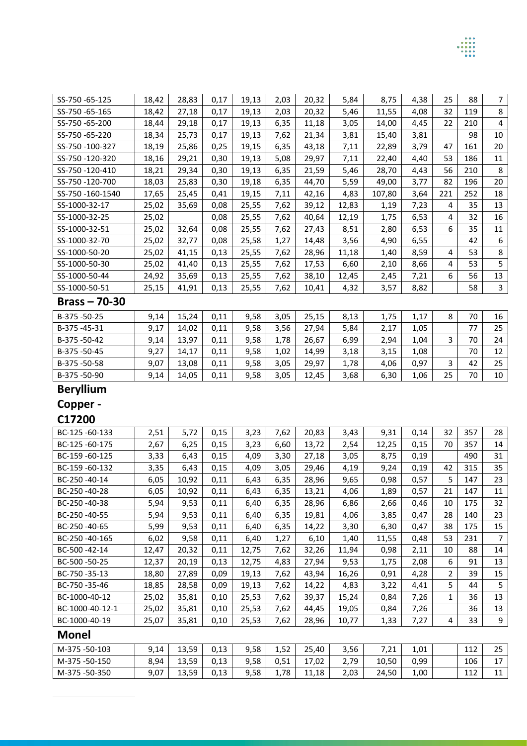| SS-750-65-125                | 18,42 | 28,83 | 0,17 | 19,13 | 2,03 | 20,32 | 5,84  | 8,75   | 4,38 | 25  | 88  | $\overline{7}$ |
|------------------------------|-------|-------|------|-------|------|-------|-------|--------|------|-----|-----|----------------|
| SS-750-65-165                | 18,42 | 27,18 | 0,17 | 19,13 | 2,03 | 20,32 | 5,46  | 11,55  | 4,08 | 32  | 119 | 8              |
| SS-750-65-200                | 18,44 | 29,18 | 0,17 | 19,13 | 6,35 | 11,18 | 3,05  | 14,00  | 4,45 | 22  | 210 | 4              |
| SS-750-65-220                | 18,34 | 25,73 | 0,17 | 19,13 | 7,62 | 21,34 | 3,81  | 15,40  | 3,81 |     | 98  | 10             |
| SS-750-100-327               | 18,19 | 25,86 | 0,25 | 19,15 | 6,35 | 43,18 | 7,11  | 22,89  | 3,79 | 47  | 161 | 20             |
| SS-750-120-320               | 18,16 | 29,21 | 0,30 | 19,13 | 5,08 | 29,97 | 7,11  | 22,40  | 4,40 | 53  | 186 | 11             |
| SS-750-120-410               | 18,21 | 29,34 | 0,30 | 19,13 | 6,35 | 21,59 | 5,46  | 28,70  | 4,43 | 56  | 210 | 8              |
| SS-750-120-700               | 18,03 | 25,83 | 0,30 | 19,18 | 6,35 | 44,70 | 5,59  | 49,00  | 3,77 | 82  | 196 | 20             |
| SS-750-160-1540              | 17,65 | 25,45 | 0,41 | 19,15 | 7,11 | 42,16 | 4,83  | 107,80 | 3,64 | 221 | 252 | 18             |
| SS-1000-32-17                | 25,02 | 35,69 | 0,08 | 25,55 | 7,62 | 39,12 | 12,83 | 1,19   | 7,23 | 4   | 35  | 13             |
| SS-1000-32-25                | 25,02 |       | 0,08 | 25,55 | 7,62 | 40,64 | 12,19 | 1,75   | 6,53 | 4   | 32  | 16             |
| SS-1000-32-51                | 25,02 | 32,64 | 0,08 | 25,55 | 7,62 | 27,43 | 8,51  | 2,80   | 6,53 | 6   | 35  | $11\,$         |
| SS-1000-32-70                | 25,02 | 32,77 | 0,08 | 25,58 | 1,27 | 14,48 | 3,56  | 4,90   | 6,55 |     | 42  | 6              |
| SS-1000-50-20                | 25,02 | 41,15 | 0,13 | 25,55 | 7,62 | 28,96 | 11,18 | 1,40   | 8,59 | 4   | 53  | 8              |
| SS-1000-50-30                | 25,02 | 41,40 | 0,13 | 25,55 | 7,62 | 17,53 | 6,60  | 2,10   | 8,66 | 4   | 53  | 5              |
| SS-1000-50-44                | 24,92 | 35,69 | 0,13 | 25,55 | 7,62 | 38,10 | 12,45 | 2,45   | 7,21 | 6   | 56  | 13             |
| SS-1000-50-51                | 25,15 | 41,91 | 0,13 | 25,55 | 7,62 | 10,41 | 4,32  | 3,57   | 8,82 |     | 58  | $\mathbf{3}$   |
| $Brass - 70-30$              |       |       |      |       |      |       |       |        |      |     |     |                |
| B-375-50-25                  | 9,14  | 15,24 | 0,11 | 9,58  | 3,05 | 25,15 | 8,13  | 1,75   | 1,17 | 8   | 70  | 16             |
| B-375-45-31                  | 9,17  | 14,02 | 0,11 | 9,58  | 3,56 | 27,94 | 5,84  | 2,17   | 1,05 |     | 77  | 25             |
| B-375-50-42                  | 9,14  | 13,97 | 0,11 | 9,58  | 1,78 | 26,67 | 6,99  | 2,94   | 1,04 | 3   | 70  | 24             |
| B-375-50-45                  | 9,27  | 14,17 | 0,11 | 9,58  | 1,02 | 14,99 | 3,18  | 3,15   | 1,08 |     | 70  | 12             |
| B-375-50-58                  | 9,07  | 13,08 | 0,11 | 9,58  | 3,05 | 29,97 | 1,78  | 4,06   | 0,97 | 3   | 42  | 25             |
| B-375-50-90                  | 9,14  | 14,05 | 0,11 | 9,58  | 3,05 | 12,45 | 3,68  | 6,30   | 1,06 | 25  | 70  | 10             |
| <b>Beryllium</b>             |       |       |      |       |      |       |       |        |      |     |     |                |
| Copper -                     |       |       |      |       |      |       |       |        |      |     |     |                |
|                              |       |       |      |       |      |       |       |        |      |     |     |                |
| C17200                       |       |       |      |       |      |       |       |        |      |     |     |                |
| BC-125-60-133                | 2,51  | 5,72  | 0,15 | 3,23  | 7,62 | 20,83 | 3,43  | 9,31   | 0,14 | 32  | 357 | 28             |
| BC-125-60-175                | 2,67  | 6,25  | 0,15 | 3,23  | 6,60 | 13,72 | 2,54  | 12,25  | 0,15 | 70  | 357 | 14             |
| BC-159-60-125                | 3,33  | 6,43  | 0,15 | 4,09  | 3,30 | 27,18 | 3,05  | 8,75   | 0,19 |     | 490 | 31             |
| BC-159 -60-132               | 3,35  | 6,43  | 0,15 | 4,09  | 3,05 | 29,46 | 4,19  | 9,24   | 0,19 | 42  | 315 | 35             |
| BC-250-40-14                 | 6,05  | 10,92 | 0,11 | 6,43  | 6,35 | 28,96 | 9,65  | 0,98   | 0,57 | 5   | 147 | 23             |
| BC-250-40-28                 | 6,05  | 10,92 | 0,11 | 6,43  | 6,35 | 13,21 | 4,06  | 1,89   | 0,57 | 21  | 147 | 11             |
| BC-250-40-38                 | 5,94  | 9,53  | 0,11 | 6,40  | 6,35 | 28,96 | 6,86  | 2,66   | 0,46 | 10  | 175 | 32             |
| BC-250-40-55                 | 5,94  | 9,53  | 0,11 | 6,40  | 6,35 | 19,81 | 4,06  | 3,85   | 0,47 | 28  | 140 | 23             |
| BC-250-40-65                 | 5,99  | 9,53  | 0,11 | 6,40  | 6,35 | 14,22 | 3,30  | 6,30   | 0,47 | 38  | 175 | 15             |
| BC-250-40-165                | 6,02  | 9,58  | 0,11 | 6,40  | 1,27 | 6,10  | 1,40  | 11,55  | 0,48 | 53  | 231 | $\overline{7}$ |
| BC-500-42-14                 | 12,47 | 20,32 | 0,11 | 12,75 | 7,62 | 32,26 | 11,94 | 0,98   | 2,11 | 10  | 88  | 14             |
| BC-500-50-25                 | 12,37 | 20,19 | 0,13 | 12,75 | 4,83 | 27,94 | 9,53  | 1,75   | 2,08 | 6   | 91  | 13             |
| BC-750-35-13                 | 18,80 | 27,89 | 0,09 | 19,13 | 7,62 | 43,94 | 16,26 | 0,91   | 4,28 | 2   | 39  | 15             |
| BC-750-35-46                 | 18,85 | 28,58 | 0,09 | 19,13 | 7,62 | 14,22 | 4,83  | 3,22   | 4,41 | 5   | 44  | 5              |
| BC-1000-40-12                | 25,02 | 35,81 | 0,10 | 25,53 | 7,62 | 39,37 | 15,24 | 0,84   | 7,26 | 1   | 36  | 13             |
| BC-1000-40-12-1              | 25,02 | 35,81 | 0,10 | 25,53 | 7,62 | 44,45 | 19,05 | 0,84   | 7,26 |     | 36  | 13             |
| BC-1000-40-19                | 25,07 | 35,81 | 0,10 | 25,53 | 7,62 | 28,96 | 10,77 | 1,33   | 7,27 | 4   | 33  | 9              |
| <b>Monel</b>                 |       |       |      |       |      |       |       |        |      |     |     |                |
| M-375-50-103                 |       |       |      |       |      |       |       |        |      |     |     |                |
|                              | 9,14  | 13,59 | 0,13 | 9,58  | 1,52 | 25,40 | 3,56  | 7,21   | 1,01 |     | 112 | 25             |
| M-375-50-150<br>M-375-50-350 | 8,94  | 13,59 | 0,13 | 9,58  | 0,51 | 17,02 | 2,79  | 10,50  | 0,99 |     | 106 | 17             |

 $\frac{1}{1}$